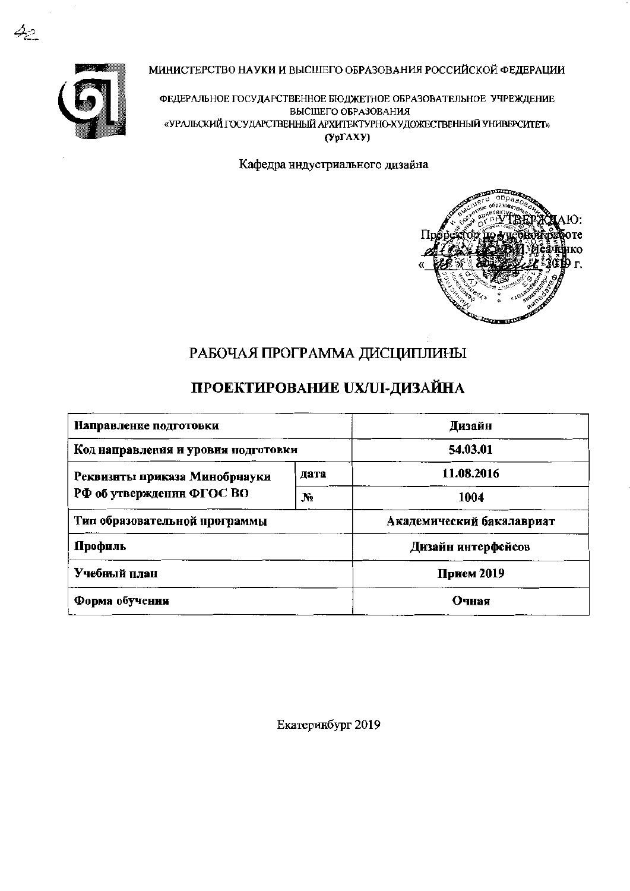

МИНИСТЕРСТВО НАУКИ И ВЫСШЕГО ОБРАЗОВАНИЯ РОССИЙСКОЙ ФЕДЕРАЦИИ

ФЕДЕРАЛЬНОЕ ГОСУДАРСТВЕННОЕ БЮДЖЕТНОЕ ОБРАЗОВАТЕЛЬНОЕ УЧРЕЖДЕНИЕ ВЫСШЕГО ОБРАЗОВАНИЯ «УРАЛЬСКИЙ ГОСУДАРСТВЕННЫЙ АРХИТЕКТУРНО-ХУДОЖЕСТВЕННЫЙ УНИВЕРСИТЕТ»  $(Yp\Gamma A X Y)$ 

Кафедра индустриального дизайна



# РАБОЧАЯ ПРОГРАММА ДИСЦИПЛИНЫ

# ПРОЕКТИРОВАНИЕ UX/UI-ДИЗАЙНА

| Направление подготовки              | Дизайн     |                           |  |  |
|-------------------------------------|------------|---------------------------|--|--|
| Код направления и уровня подготовки | 54.03.01   |                           |  |  |
| Реквизиты приказа Минобрнауки       | дата       | 11.08.2016                |  |  |
| РФ об утвержденин ФГОС ВО           | Nº.        | 1004                      |  |  |
| Тип образовательной программы       |            | Академический бакалавриат |  |  |
| Профиль                             |            | Дизайн интерфейсов        |  |  |
| Учебный план                        | Прием 2019 |                           |  |  |
| Форма обучения                      | Очная      |                           |  |  |

Екатеринбург 2019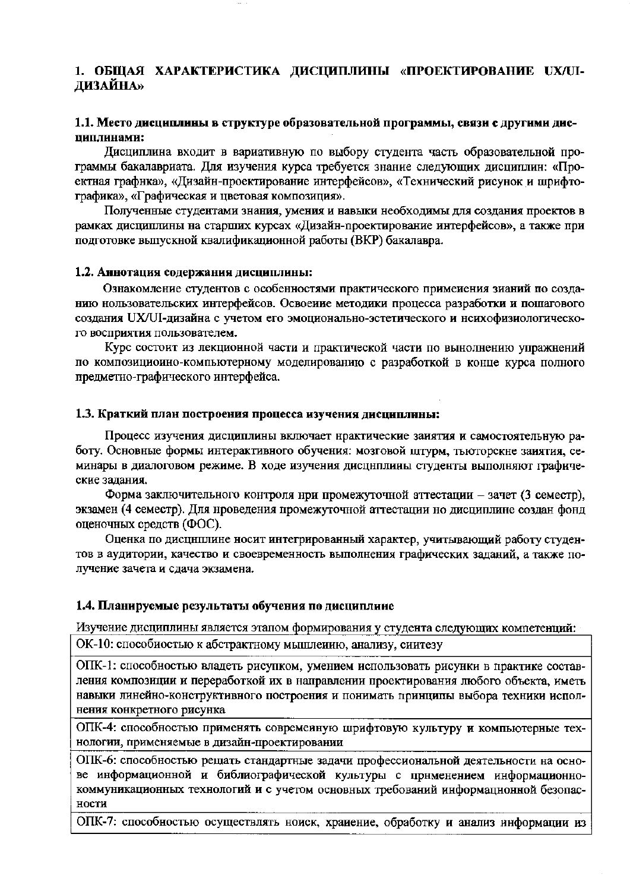#### 1. ОБЩАЯ ХАРАКТЕРИСТИКА ДИСЦИПЛИНЫ «ПРОЕКТИРОВАНИЕ UX/UI-ДИЗАЙНА»

#### 1.1. Место дисциплины в структуре образовательной программы, связи с другими диспиплинами:

Дисциплина входит в вариативную по выбору студента часть образовательной программы бакалавриата. Для изучения курса требуется знание следующих дисциплин: «Проектная графнка», «Дизайн-проектирование интерфейсов», «Технический рисунок и шрифтографика», «Графическая и цветовая композиция».

Полученные студентами знания, умения и навыки необходимы для создания проектов в рамках дисциплины на старших курсах «Дизайн-проектирование интерфейсов», а также при подготовке выпускной квалификационной работы (ВКР) бакалавра.

#### 1.2. Аннотация содержания дисциплины:

Ознакомление студентов с особенностями практического примеиения зианий по созданию нользовательских интерфейсов. Освоеиие методики процесса разработки и пошагового создания UX/UI-дизайна с учетом его эмоционально-эстетического и нсихофизиологического восприятия пользователем.

Курс состоит из лекционной части и практической части по вынолнению упражнений по композициоино-компьютерному моделированию с разработкой в конце курса полного предметно-графического интерфейса.

#### 1.3. Краткий план построения процесса изучения дисциплины:

Процесс изучения дисциплины включает нрактические занятия и самостоятельную работу. Основные формы интерактивного обучения: мозговой штурм, тыоторскне заиятия, семинары в диалоговом режиме. В ходе изучения дисциплииы студенты выполняют графические задания.

Форма заключительного контроля нри промежуточной аттестации - зачет (3 семестр), экзамен (4 семестр). Для нроведения промежуточной аттестации но дисциплине создан фонд оценочных средств (ФОС).

Оценка по дисциплине носит интегрированный характер, учитывающий работу студентов в аудитории, качество и своевременность выполнения графических заданий, а также получение зачета и сдача экзамена.

#### 1.4. Планируемые результаты обучения по дисциплине

Изучение дисциплины является этапом формирования у студента следующих компетенций:

ОК-10: способиостью к абстрактному мышлеиию, анализу, сиитезу

ОПК-1: способностью владеть рисупком, умением использовать рисунки в практике составления композиции и переработкой их в направлении проектирования любого объекта, иметь навыки линейно-конструктивного построения и понимать принципы выбора техники исполнения конкретного рисунка

ОПК-4: способностью применять современную шрифтовую культуру и компьютерные технологии, применяемые в дизайн-проектировании

ОПК-6: способностью рещать стандартные задачи профессиональной деятельности на основе информационной и библиографической культуры с применением информационнокоммуникационных технологий и с учетом основных требований информацнонной безопасности

ОПК-7: способностью осуществлять ноиск, храиение, обработку и анализ информации из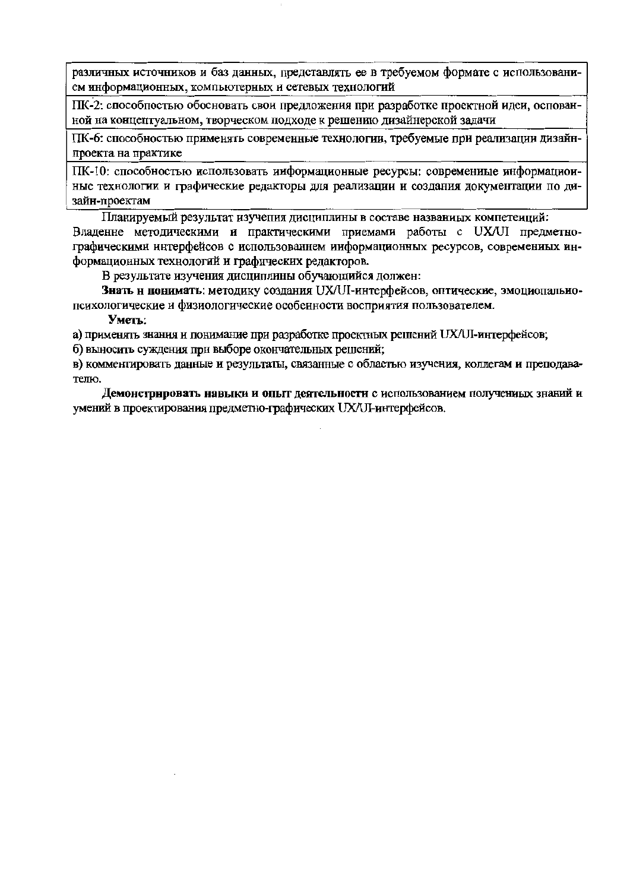различных источников и баз данных, представлять ее в требуемом формате с использованием информационных, компьютерных и сетевых технологий

ПК-2: способностью обосновать свои предложения при разработке проектной идеи, основанной на концептуальном, творческом подходе к решению дизайнерской задачи

ПК-6: способностью применять современные технологии, требуемые при реализации дизайнпроекта на практике

ПК-10: способностью использовать информационные ресурсы: современиые информационные технологии и графические редакторы для реализации и создания документации по дизайн-проектам

Планируемый результат изучения дисциплины в составе названиых компетеиций: Владенне методическими и практическими приемами работы с UX/UI предметнографическими интерфейсов с использованием ииформационных ресурсов, современиых информационных технологий и графических редакторов.

В результате изучения дисциплины обучающийся должен:

Знать и понимать: методику создания UX/UI-интерфейсов, оптические, эмоциопальнопсихологические и физиологические особенности восприятия пользователем.

Уметь:

а) применять знания и понимание при разработке проектных решений UX/UI-интерфейсов;

б) выносить суждения при выборе окончательных решений;

в) комментировать данные и результаты, связанные с областью изучения, коллегам и преподавателю.

Демонстрировать навыки и опыт деятельности с использованием полученных знаний и умений в проектирования предметно-графических UX/UI-интерфейсов.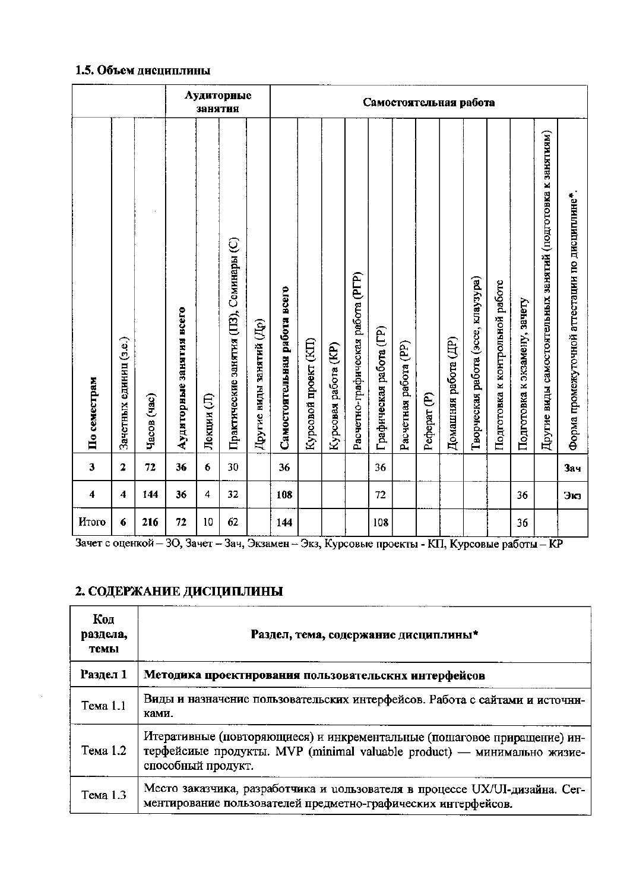#### 1.5. Объем дисциплины

|               |                        |             |                          | занятия    | Аудиторные                              |                          |                              | Самостоятельная работа |                      |                                   |                         |                       |                        |                      |                                    |                                 |                               |                                                             |                                                |
|---------------|------------------------|-------------|--------------------------|------------|-----------------------------------------|--------------------------|------------------------------|------------------------|----------------------|-----------------------------------|-------------------------|-----------------------|------------------------|----------------------|------------------------------------|---------------------------------|-------------------------------|-------------------------------------------------------------|------------------------------------------------|
| По семестрам  | Зачетных единиц (з.е.) | Часов (час) | Аудиторные занятия всего | Лекции (Л) | Практические занятия (ПЗ), Семинары (С) | Другие виды занятий (Др) | Самостоятельная работа всего | Курсовой проект (КП)   | Курсовая работа (KP) | Расчетно-графическая работа (РГР) | Графическая работа (ГР) | Расчетная работа (PP) | Pedepar <sub>(P)</sub> | Домашняя работа (ДР) | Творческая работа (эссе, клаузура) | Подготовка к контрольной работе | Подготовка к экзамену, зачету | Другие виды самостоятельных занятий (подготовка к занятиям) | Форма промежуточной аттестации по дисциплине*. |
| $\mathbf{3}$  | $\mathbf 2$            | 72          | 36                       | 6          | 30                                      |                          | 36                           |                        |                      |                                   | 36                      |                       |                        |                      |                                    |                                 |                               |                                                             | <b>Зач</b>                                     |
| 4             | 4                      | 144         | 36                       | 4          | 32                                      |                          | 108                          |                        |                      |                                   | 72                      |                       |                        |                      |                                    |                                 | 36                            |                                                             | Экз                                            |
| <b>H</b> roro | 6                      | 216         | 72                       | 10         | 62                                      |                          | 144                          |                        |                      |                                   | 108                     |                       |                        |                      |                                    |                                 | 36                            |                                                             |                                                |

Зачет с оценкой – 30, Зачет – Зач, Экзамен – Экз, Курсовые проекты - КП, Курсовые работы – КР

# 2. СОДЕРЖАНИЕ ДИСЦИПЛИНЫ

| Код<br>раздела,<br>темы | Раздел, тема, содержание дисциплины*                                                                                                                                      |
|-------------------------|---------------------------------------------------------------------------------------------------------------------------------------------------------------------------|
| Раздел 1                | Методика проектнрования пользовательских интерфейсов                                                                                                                      |
| Тема 1.1                | Виды и назначение пользовательских интерфейсов. Работа с сайтами и источни-<br>ками.                                                                                      |
| Тема 1.2                | Итеративные (повторяющиеся) и инкрементальные (пошаговое приращение) ин-<br>терфейсиые продукты. MVP (minimal valuable product) — минимально жизие-<br>способный продукт. |
| Тема 1.3                | Место заказчика, разработчика и цользователя в процессе UX/UI-дизайна. Сег-<br>ментирование пользователей предметно-графических интерфейсов.                              |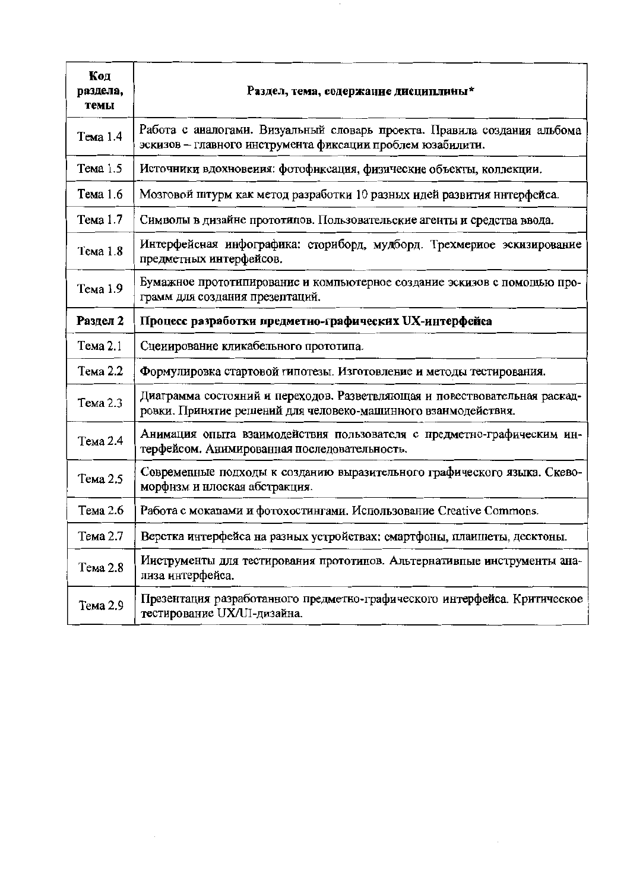| Код<br>раздела,<br>темы | Раздел, тема, содержание дисциплины*                                                                                                         |
|-------------------------|----------------------------------------------------------------------------------------------------------------------------------------------|
| Тема 1.4                | Работа с аналогами. Визуальный словарь проекта. Правила создания альбома<br>эскизов - главного инструмента фиксации проблем юзабилити.       |
| Тема 1.5                | Источники вдохновения: фотофнксация, физические объекты, коллекции.                                                                          |
| Тема 1.6                | Мозговой штурм как метод разработки 10 разных идей развития интерфейса.                                                                      |
| Тема 1.7                | Символы в дизайне прототицов. Пользовательские агенты и средства ввода.                                                                      |
| Тема 1.8                | Интерфейсная инфографика: сториборд, мудборд. Трехмериое эскизирование<br>предметных интерфейсов.                                            |
| Тема 1.9                | Бумажное прототипирование и компьютерное создание эскизов с помощью про-<br>грамм для создания презептаций.                                  |
| Раздел 2                | Процесс разработки предметно-графических UX-интерфейса                                                                                       |
| Тема 2.1                | Сценирование кликабельного прототипа.                                                                                                        |
| Тема 2.2                | Формулировка стартовой гипотезы. Изготовление и методы тестирования.                                                                         |
| Тема 2.3                | Диаграмма состояний и переходов. Разветвляющая и повествовательная раскад-<br>ровки. Принятие решений для человеко-машинного взанмодействня. |
| Тема 2.4                | Анимация опыта взаимодействия пользователя с предметно-графическим ин-<br>терфейсом. Анимированная последовательность.                       |
| Тема 2.5                | Современные подходы к созданию выразительного графического языка. Скево-<br>морфнзм и нлоская абстракция.                                    |
| Тема 2.6                | Работа с мокапами и фотохостингами. Использование Creative Commons.                                                                          |
| Тема 2.7                | Верстка интерфейса на разных устройствах: смартфоны, планшеты, десктоны.                                                                     |
| Тема 2.8                | Ииструменты для тестирования прототипов. Альтернативные инструменты ана-<br>лиза интерфейса.                                                 |
| Тема 2.9                | Презентация разработанного предметно-графического интерфейса. Критическое<br>тестирование UX/UI-дизайна.                                     |

 $\sim$ 

 $\bar{\beta}$ 

 $\sim 10^{11}$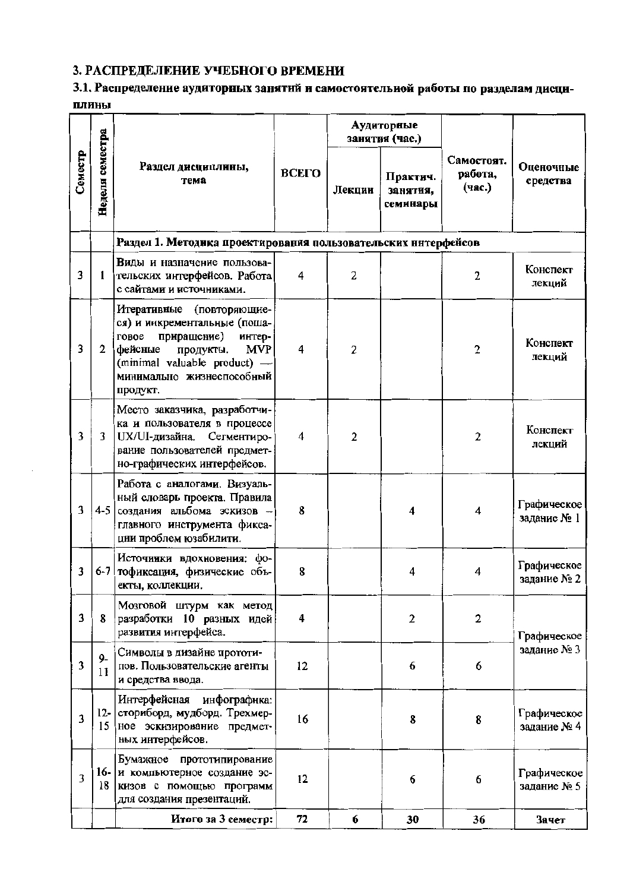# 3. РАСПРЕДЕЛЕНИЕ УЧЕБНОГО ВРЕМЕНИ

## 3.1. Распределение аудиторных занятий и самостоятельной работы по разделам дисциплины

|         |                 |                                                                                                                                                                                                               |                                                     | Аудиторные<br>занятия (час.) |                                 |                       |                            |
|---------|-----------------|---------------------------------------------------------------------------------------------------------------------------------------------------------------------------------------------------------------|-----------------------------------------------------|------------------------------|---------------------------------|-----------------------|----------------------------|
| Семестр | Неделя семестра | Раздел дисциплины,<br>тема                                                                                                                                                                                    | ВСЕГО<br>Практич.<br>Лекции<br>занятия,<br>семинары |                              | Самостоят.<br>работа,<br>(час.) | Оценочные<br>средства |                            |
|         |                 | Раздел 1. Методика проектирования пользовательских нитерфейсов                                                                                                                                                |                                                     |                              |                                 |                       |                            |
| 3       | 1               | Виды и назначение пользова-<br>тельских интерфейсов. Работа<br>с сайтами и источниками.                                                                                                                       | 4                                                   | 2                            |                                 | 2                     | Конспект<br>лекций         |
| 3       | $\mathbf{2}$    | Итеративные<br>(повторяющие-<br>ся) и инкрементальные (поша-<br>приращение)<br>говое<br>интер-<br>фейсные<br><b>MVP</b><br>продукты.<br>(minimal valuable product) -<br>минимально жизнеспособный<br>продукт. | 4                                                   | $\overline{2}$               |                                 | $\overline{2}$        | Конспект<br>лекций         |
| 3       | 3               | Место заказчика, разработчи-<br>ка и пользователя в процессе<br>UX/UI-дизайна.<br>Сегментиро-<br>вание пользователей предмет-<br>но-графических интерфейсов.                                                  | 4                                                   | $\overline{2}$               |                                 | $\overline{2}$        | Конспект<br>лекций         |
| 3       | $4-5$           | Работа с аналогами. Визуаль-<br>ный словарь проекта. Правила<br>создания альбома эскизов -<br>главного инструмента фикса-<br>ции проблем юзабилити.                                                           | 8                                                   |                              | 4                               | 4                     | Графическое<br>задание № 1 |
| 3       | $6 - 7$         | Источиики вдохновения:<br>$\phi$ o-<br>тофиксация, физические объ-<br>екты, коллекции.                                                                                                                        | 8                                                   |                              | 4                               | 4                     | Графическое<br>задание № 2 |
| 3       | 8               | Мозговой штурм как метод<br>разработки 10 разных идей<br>развития интерфейса.                                                                                                                                 | 4                                                   |                              | $\mathbf{2}$                    | $\overline{2}$        | Графическое                |
| 3       | $9-$<br>11      | Символы в дизайне прототи-<br>пов. Пользовательские агенты<br>и средства ввода.                                                                                                                               | 12                                                  |                              | 6                               | 6                     | задание № 3                |
| 3       | 15              | Интерфейсная инфографнка:<br>12- сториборд, мудборд. Трехмер-<br>ное эскизирование предмет-<br>ных интерфейсов.                                                                                               | 16                                                  |                              | 8                               | 8                     | Графическое<br>задание № 4 |
| 3       | 18              | Бумажное прототипирование<br>16- и компьютерное создание эс-<br>кизов с помощью программ<br>для создания презентаций.                                                                                         | 12                                                  |                              | 6                               | 6                     | Графическое<br>задание № 5 |
|         |                 | Итого за 3 семестр:                                                                                                                                                                                           | 72                                                  | 6                            | 30                              | 36                    | Зачет                      |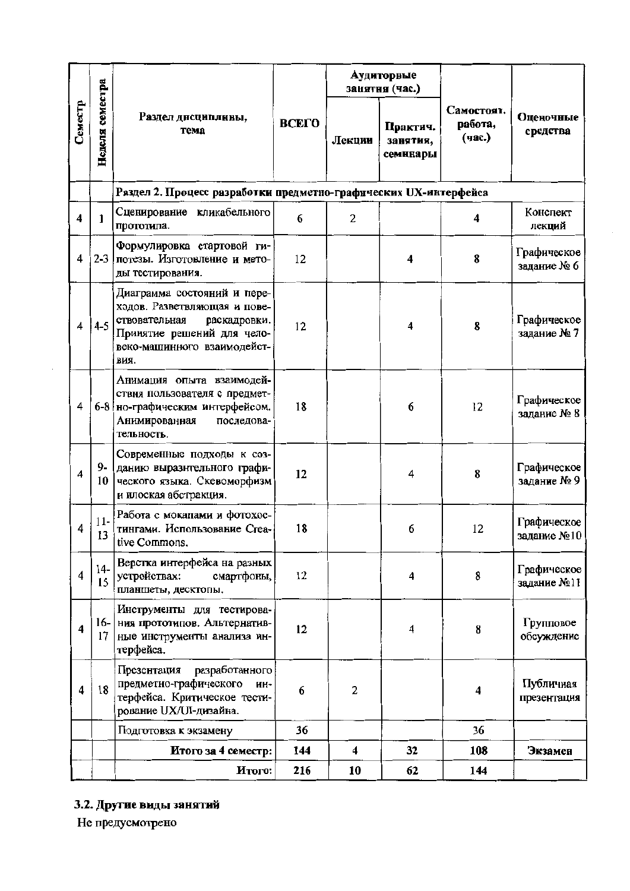|                         |                 |                                                                                                                                                                   |              |                | Аудиторные<br>занятня (час.)     |                                 |                            |  |
|-------------------------|-----------------|-------------------------------------------------------------------------------------------------------------------------------------------------------------------|--------------|----------------|----------------------------------|---------------------------------|----------------------------|--|
| Семестр                 | Неделя семестра | Раздел дисциплины,<br>тема                                                                                                                                        | <b>BCETO</b> | Лекции         | Практич.<br>занятия,<br>семинары | Самостоят.<br>работа,<br>(час.) | Оценочные<br>средства      |  |
|                         |                 | Раздел 2. Процесс разработки предметно-графических UX-интерфейса                                                                                                  |              |                |                                  |                                 |                            |  |
| 4                       | 1               | Сценирование кликабельного<br>прототипа.                                                                                                                          | 6            | $\overline{2}$ |                                  | 4                               | Конспект<br>лекций         |  |
| 4                       | $2 - 3$         | Формулировка стартовой ги-<br>потезы. Изготовление и мето-<br>ды тестирования.                                                                                    | 12           |                | 4                                | 8                               | Графическое<br>задание № 6 |  |
| 4                       | $4 - 5$         | Диаграмма состояний и пере-<br>ходов. Разветвляющая и пове-<br>ствовательная<br>раскадровки.<br>Принятие решений для чело-<br>веко-машинного взаимодейст-<br>вия. | 12           |                | 4                                | 8                               | Графическое<br>задание № 7 |  |
| 4                       |                 | Анимация опыта взаимодей-<br>ствия пользователя с предмет-<br>6-8 но-графическим интерфейсом.<br>Анимированная<br>последова-<br>тельность.                        | 18           |                | 6                                | 12                              | Графическое<br>задание № 8 |  |
| 4                       | $9-$<br>10      | Современные подходы к соз-<br>данию выразительного графи-<br>ческого языка. Скевоморфизм<br>и плоская абстракция.                                                 | 12           |                | 4                                | 8                               | Графическое<br>задание № 9 |  |
| 4                       | $11-$<br>13     | Работа с мокапами и фотохос-<br>тингами. Использование Стеа-<br>tive Commons.                                                                                     | 18           |                | 6                                | 12                              | Графическое<br>задание №10 |  |
| $\overline{4}$          | $14-$<br>15     | Верстка интерфейса на разных<br>устройствах:<br>смартфоны,<br>планшеты, десктопы.                                                                                 | 12           |                | $\overline{\mathbf{4}}$          | 8                               | Графическое<br>задание №11 |  |
| $\overline{\mathbf{4}}$ | 17              | Инструменты для тестирова-<br>16- ния прототипов. Альтернатив-<br>ные инструменты анализа ин-<br>терфейса.                                                        | 12           |                | 4                                | 8                               | Групповое<br>обсуждение    |  |
| 4                       | 18              | Презентация<br>разработанного<br>предметно-графического<br>ИН-<br>терфейса. Критическое тести-<br>рование UX/UI-дизайна.                                          | 6            | $\overline{2}$ |                                  | 4                               | Публичиая<br>презентация   |  |
|                         |                 | Подготовка к экзамену                                                                                                                                             | 36           |                |                                  | 36                              |                            |  |
|                         |                 | Итого за 4 семестр:                                                                                                                                               | 144          | 4              | 32                               | 108                             | Экзамен                    |  |
|                         |                 | Итого:                                                                                                                                                            | 216          | 10             | 62                               | 144                             |                            |  |

## 3.2. Другие виды занятий

Не предусмотрено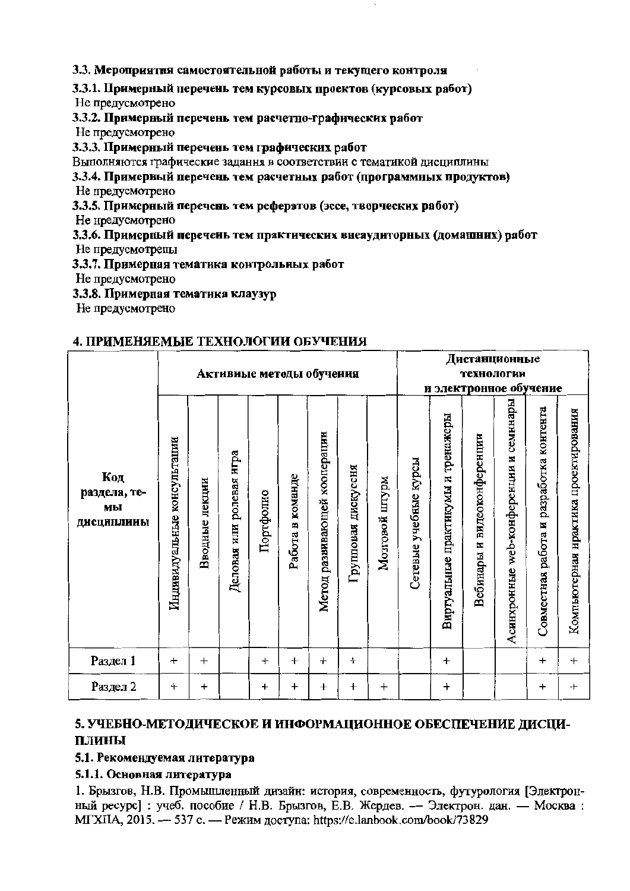3.3. Мероприятия самостоятельной работы и текущего контроля

3.3.1. Примерный перечень тем курсовых проектов (курсовых работ) Не предусмотрено

3.3.2. Примерный перечень тем расчетно-графических работ

Не предусмотрено

3.3.3. Примерный перечень тем графических работ

Выполняются графические задання в соответствии с тематикой дисциплины

3.3.4. Примерный перечень тем расчетных работ (программных продуктов) Не предусмотрено

3.3.5. Примерный перечень тем рефератов (эссе, творческих работ)

Не нредусмотрено

3.3.6. Примерный перечень тем практических внеаудиторных (домашних) работ

Не предусмотрепы

3.3.7. Примерная тематика контрольных работ

Не предусмотрено

3.3.8. Примерная тематика клаузур

Не предусмотрено

## 4. ПРИМЕНЯЕМЫЕ ТЕХНОЛОГИИ ОБУЧЕНИЯ

|                                         |                             |                   |                             |           |                  |                              |                        |                |                       |                                    |                                   | Дистанционные                             |                                         |                                      |  |
|-----------------------------------------|-----------------------------|-------------------|-----------------------------|-----------|------------------|------------------------------|------------------------|----------------|-----------------------|------------------------------------|-----------------------------------|-------------------------------------------|-----------------------------------------|--------------------------------------|--|
|                                         | Активиые методы обучения    |                   |                             |           |                  |                              |                        |                |                       | технологии                         |                                   |                                           |                                         |                                      |  |
|                                         | и электронное обучение      |                   |                             |           |                  |                              |                        |                |                       |                                    |                                   |                                           |                                         |                                      |  |
| Код<br>раздела, те-<br>мы<br>дисциплины | Индивидуальные консультации | лекции<br>Вводные | ролевая игра<br>Деловая или | Портфолио | Работа в команде | Метод развивающей кооперацин | дискуссня<br>Групповая | Мозговой штурм | Сетевые учебные курсы | Виртуальные практикумы и тренажеры | видеоконференции<br>N<br>Вебинары | семннары<br>Асинхронные web-конференции и | Совместная работа и разработка контента | Компьютерная нрактика проектирования |  |
| Раздел 1                                | $+$                         | $+$               |                             | $^{+}$    | $^{+}$           | $\ddot{}$                    | $\ddot{}$              |                |                       | $+$                                |                                   |                                           | $\ddot{}$                               | $+$                                  |  |
| Раздел 2                                | $^{+}$                      | $\pmb{+}$         |                             | $\ddot{}$ | $\boldsymbol{+}$ | $\ddot{}$                    | $\ddag$                | $^{+}$         |                       | $\, +$                             |                                   |                                           | $\ddot{}$                               | $\pm$                                |  |

## 5. УЧЕБНО-МЕТОДИЧЕСКОЕ И ИНФОРМАЦИОННОЕ ОБЕСПЕЧЕНИЕ ДИСЦИ-ПЛИНЫ

### 5.1. Рекомендуемая литература

## 5.1.1. Основная литература

1. Брызгов, Н.В. Промышленный дизайн: история, современность, футурология [Электронный ресурс]: учеб. пособие / Н.В. Брызгов, Е.В. Жердев. — Электрон. дан. — Москва: МГХПА, 2015. - 537 с. - Режим доступа: https://e.lanbook.com/book/73829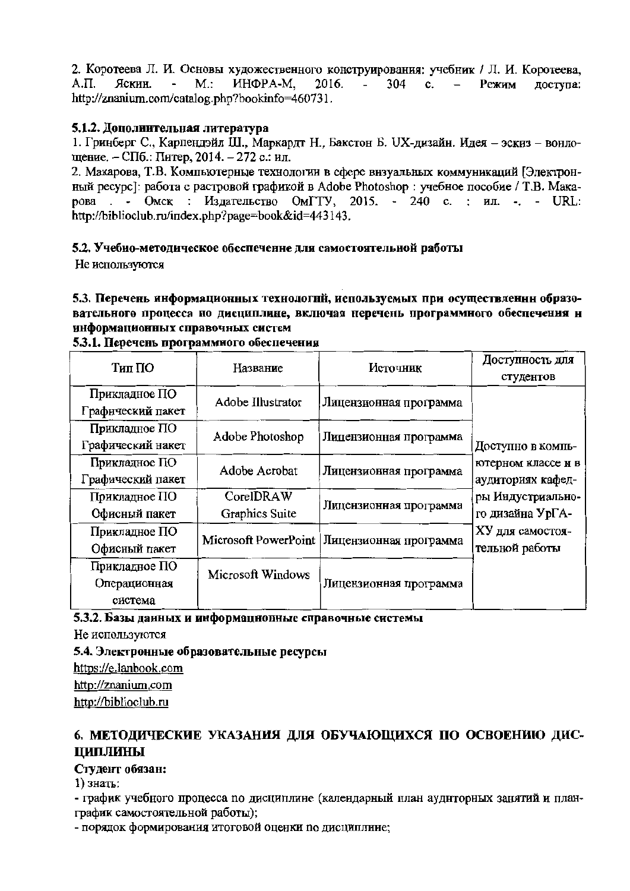2. Коротеева Л. И. Основы художественного конструирования: учебник / Л. И. Коротеева,  $A.\Pi.$ Яскин.  $\blacksquare$  $M$ .: ИНФРА-М. 2016. 304  $\mathbf{c}$ . Режим лоступа: http://znanium.com/catalog.php?bookinfo=460731.

## 5.1.2. Дополнительная литература

1. Гринберг С., Карпендэйл Ш., Маркардт Н., Бакстон Б. UX-дизайн. Идея - эскиз - вонлошение. - СПб.: Питер, 2014. - 272 с.: ил.

2. Макарова, Т.В. Компьютерные технологии в сфере внзуальных коммуникаций [Электронный ресурс]: работа с растровой графикой в Adobe Photoshop : учебное пособие / Т.В. Макарова . - Омск : Излательство ОмГТУ, 2015. - 240 с. : ил. -. - URL: http://biblioclub.ru/index.php?page=book&id=443143.

### 5.2. Учебно-методическое обеспеченне для самостоятельной работы

Не используются

5.3. Перечень информационных технологий, используемых при осуществленни образовательного процесса по дисциплине, включая перечень программного обеспечения н информационных справочных систем

| Тип ПО            | Название          | Источник                                      | Доступность для                         |  |  |  |  |
|-------------------|-------------------|-----------------------------------------------|-----------------------------------------|--|--|--|--|
|                   |                   |                                               | студентов                               |  |  |  |  |
| Прикладное ПО     | Adobe Illustrator |                                               |                                         |  |  |  |  |
| Графический пакет |                   | Лицензионная программа                        |                                         |  |  |  |  |
| Прикладное ПО     | Adobe Photoshop   |                                               |                                         |  |  |  |  |
| Графический накет |                   | Лицензионная программа                        | Доступно в компь-                       |  |  |  |  |
| Прикладное ПО     | Adobe Acrobat     | Лицензионная программа                        | ютерном классе и в<br>аудиториях кафед- |  |  |  |  |
| Графический пакет |                   |                                               |                                         |  |  |  |  |
| Прикладное ПО     | CorelDRAW         | Лицензионная программа                        | ры Индустриально-                       |  |  |  |  |
| Офисный пакет     | Graphics Suite    |                                               | го дизайна УрГА-                        |  |  |  |  |
| Прикладное ПО     |                   | Microsoft PowerPoint   Лицензионная программа | XУ для самостоя-                        |  |  |  |  |
| Офисный пакет     |                   |                                               | тельной работы                          |  |  |  |  |
| Прикладное ПО     | Microsoft Windows |                                               |                                         |  |  |  |  |
| Операционная      |                   | Лицензионная программа                        |                                         |  |  |  |  |
| система           |                   |                                               |                                         |  |  |  |  |

#### 5.3.1. Перечень программного обеспечения

5.3.2. Базы данных и информационные справочные системы

Не используются

5.4. Электронные образовательные ресурсы

https://e.lanbook.com http://znanium.com http://biblioclub.ru

## 6. МЕТОДИЧЕСКИЕ УКАЗАНИЯ ДЛЯ ОБУЧАЮЩИХСЯ ПО ОСВОЕНИЮ ДИС-ЦИПЛИНЫ

### Студент обязан:

1) знать:

- график учебного процесса по дисциплине (календарный план аудиторных занятий и планграфик самостоятельной работы);

- порядок формирования итоговой оценки по дисциплине;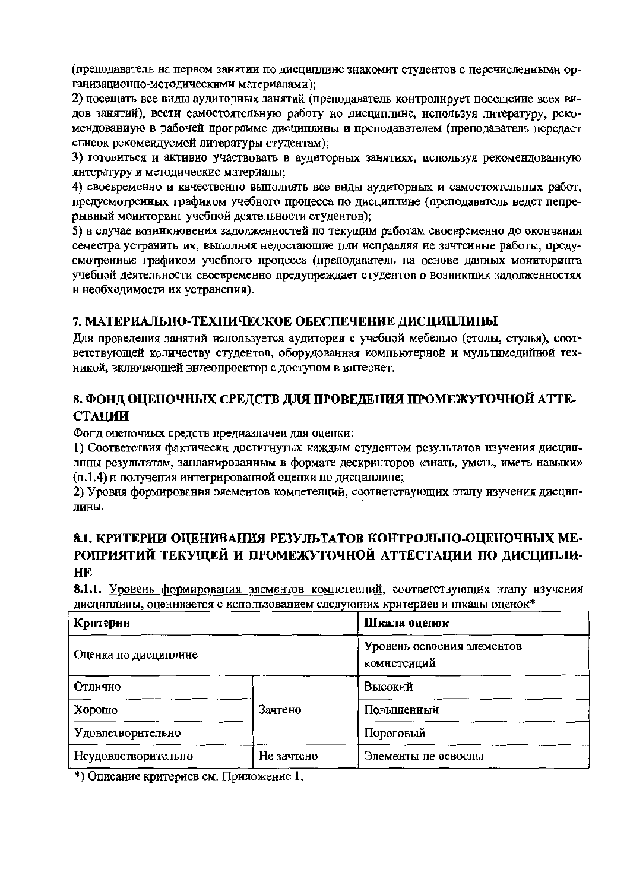(преподаватель на первом занятии по дисциплине знакомит студентов с перечисленными организационно-методическими материалами);

2) посещать все виды аудиторных занятий (преподаватель контролирует посещеиие всех видов занятий), вести самостоятельную работу но дисциплине, используя литературу, рекомендованиую в рабочей программе дисциплины и преподавателем (преподаватель передает список рекомендуемой литературы студентам);

3) готовиться и активно участвовать в аудиторных занятиях, используя рекомендованную литературу и методические материалы;

4) своевременно и качественно выполнять все виды аудиторных и самостоятельных работ, предусмотренных графиком учебного процесса по дисциплине (преподаватель ведет пепрерывный мониторинг учеблой деятельности студентов);

5) в случае возникновения задолженностей по текущим работам своевременно до окончания семестра устранить их, выполняя недостающие нли исправляя не зачтенные работы, предусмотренные графиком учебного нроцесса (преподаватель на основе данных мониторинга учебной деятельности своевременно предупреждает студентов о возникших задолженностях и необходимости их устранения).

## 7. МАТЕРИАЛЬНО-ТЕХНИЧЕСКОЕ ОБЕСПЕЧЕНИЕ ДИСЦИПЛИНЫ

Для проведения занятий используется аудитория с учебной мебелью (столы, стулья), соответствующей количеству студентов, оборудованная компьютерной и мультимедийной техникой, включающей видеопроектор с доступом в интернет.

# 8. ФОНД ОЦЕНОЧНЫХ СРЕДСТВ ДЛЯ ПРОВЕДЕНИЯ ПРОМЕЖУТОЧНОЙ АТТЕ-**СТАЦИИ**

Фонд оценочиых средств предиазначен для оценки:

1) Соответствия фактически достигнутых каждым студентом результатов изучения дисциплнпы результатам, занланированным в формате дескрипторов «знать, уметь, иметь навыки» (п.1.4) и получения интегрированной оценки по дисциплине;

2) Уровня формирования элементов компетенций, соответствующих этапу изучения дисциплины.

# 8.1. КРИТЕРИИ ОЦЕНИВАНИЯ РЕЗУЛЬТАТОВ КОНТРОЛЬНО-ОЦЕНОЧНЫХ МЕ-РОПРИЯТИЙ ТЕКУЩЕЙ И ПРОМЕЖУТОЧНОЙ АТТЕСТАЦИИ ПО ДИСЦИПЛИ-**HE**

8.1.1. Уровень формирования элементов компетепций, соответствующих этапу изучения дисциплины, оценивается с использованием следующих критериев и шкалы оценок\*

| Критерии             | Шкала оценок |                                           |  |
|----------------------|--------------|-------------------------------------------|--|
| Оценка по дисциплине |              | Уровень освоения элементов<br>комнетенций |  |
| Отлично              |              | Высокий                                   |  |
| Хорошо               | Зачтено      | Повышенный                                |  |
| Удовлетворительно    |              | Пороговый                                 |  |
| Неудовлетворительпо  | Не зачтено   | Элементы не освоены                       |  |

\*) Описание критернев см. Приложение 1.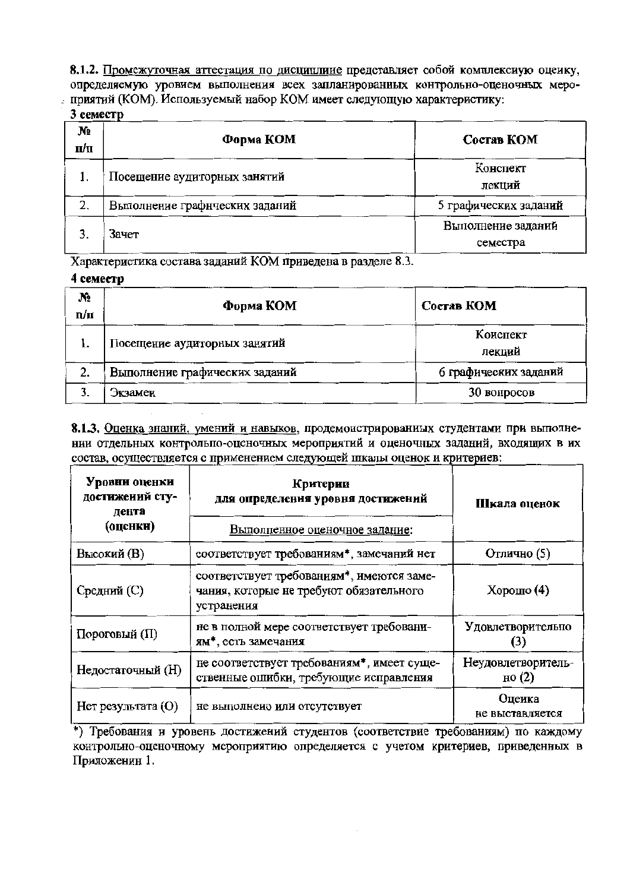8.1.2. Промежуточная аттестация по дисциплиие представляет собой комплексиую оцеику, определяемую уровием выполнения всех запланированных контрольно-оценочных мероприятий (КОМ). Используемый набор КОМ имеет следующую характеристику:

#### 3 семестр

| N.<br>п/п | Форма КОМ                      | Состав КОМ                     |
|-----------|--------------------------------|--------------------------------|
|           | Посещение аудиторных занятий   | Конспект<br>лекций             |
| 2.        | Выполнение графнческих заданий | 5 графических заданий          |
|           | Зачет                          | Выполнение заданий<br>семестра |

Характеристика состава заданий КОМ приведена в разделе 8.3.

#### 4 семестр

| N <sub>2</sub><br>n/п | Форма КОМ                      | Состав КОМ            |
|-----------------------|--------------------------------|-----------------------|
|                       | Посещение аудиторных занятий   | Коиспект<br>лекций    |
| 2.                    | Выполнение графических заданий | 6 графических заданий |
|                       | Экзамеи                        | 30 вопросов           |

8.1.3. Оценка знаний, умений и навыков, продемонстрированиых студентами при выполнении отдельных контрольпо-оценочных мероприятий и оценочных заданий, входящих в их состав, осуществляется с применением следующей шкалы оценок и критериев:

| Уровни оценки<br>достижений сту-<br>дента<br>(оценки) | Критерии<br>для определения уровня достижений<br>Выполпенное оценочное задание:                    | Шкала оценок                          |
|-------------------------------------------------------|----------------------------------------------------------------------------------------------------|---------------------------------------|
| Высокий (В)                                           | соответствует требованиям*, замечаний нет                                                          | Отлично (5)                           |
| Средний (С)                                           | соответствует требованиям*, имеются заме-<br>чания, которые не требуют обязательного<br>устранения | Хорошо $(4)$                          |
| Пороговый (П)                                         | не в полной мере соответствует требовани-<br>ям*, есть замечания                                   | Удовлетворительпо                     |
| Недостаточный (Н)                                     | не соответствует требованиям*, имеет суще-<br>ственные ошибки, требующие исправления               | Неудовлетворитель-<br>$_{\rm HO}$ (2) |
| Нет результата (О)                                    | не выполнено или отсутствует                                                                       | Оцеика<br>не выставляется             |

\*) Требования и уровень достижений студентов (соответствие требованиям) по каждому контрольно-оценочному мероприятию определяется с учетом критериев, приведенных в Приложенин 1.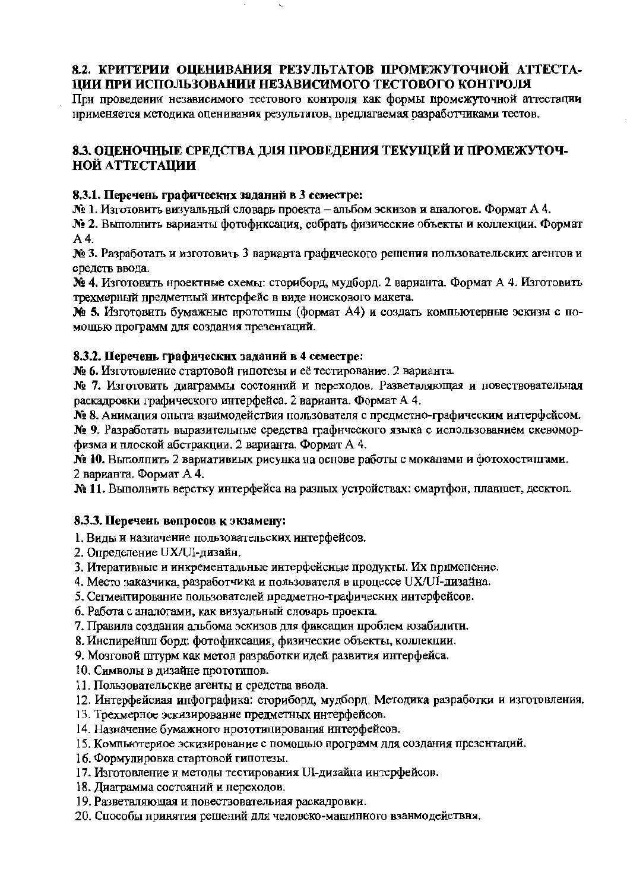## 8.2. КРИТЕРИИ ОШЕНИВАНИЯ РЕЗУЛЬТАТОВ ПРОМЕЖУТОЧНОЙ АТТЕСТА-ЦИИ ПРИ ИСПОЛЬЗОВАНИИ НЕЗАВИСИМОГО ТЕСТОВОГО КОНТРОЛЯ

При проведении независимого тестового контроля как формы промежуточной аттестации нрименяется методика оценивания результатов, предлагаемая разработчиками тестов.

## 8.3. ОПЕНОЧНЫЕ СРЕДСТВА ДЛЯ ПРОВЕДЕНИЯ ТЕКУЩЕЙ И ПРОМЕЖУТОЧ-НОЙ АТТЕСТАЦИИ

## 8.3.1. Перечень графических заданий в 3 семестре:

№ 1. Изготовить визуальный словарь проекта – альбом эскизов и аналогов. Формат А 4.

№ 2. Выполнить варианты фотофиксация, собрать физические объекты и коллекции. Формат  $A<sub>4</sub>$ 

№ 3. Разработать и изготовить 3 варианта графического решения пользовательских агентов и средств ввода.

№ 4. Изготовить нроектные схемы: сториборд. мудборд. 2 варианта. Формат А 4. Изготовить трехмерный нредметный интерфейс в виде ноискового макета.

№ 5. Изготовить бумажные прототипы (формат А4) и создать компьютерные эскизы с помощью программ для создания презентаций.

## 8.3.2. Перечень графических заданий в 4 семестре:

№ 6. Изготовление стартовой гипотезы и её тестирование. 2 варианта.

№ 7. Изготовить диаграммы состояний и переходов. Разветвляющая и повествовательная раскадровки графического интерфейса. 2 варианта. Формат А 4.

№ 8. Анимация опыта взаимодействия пользователя с предметно-графическим интерфейсом.

№ 9. Разработать выразительные средства графического языка с использованием скевоморфизма и плоской абстракции. 2 варианта. Формат А 4.

№ 10. Выполнить 2 вариативных рисунка на основе работы с мокапами и фотохостингами. 2 варианта. Формат А 4.

№ 11. Выполнить верстку интерфейса на разпых устройствах: смартфон, планшет, десктоп.

## 8.3.3. Перечень вопросов к экзамену:

- 1. Виды и назпачение пользовательских интерфейсов.
- 2. Определение UX/UI-дизайн.
- 3. Итеративные и инкрементальные интерфейсные продукты. Их применение.
- 4. Место заказчика, разработчика и пользователя в процессе UX/UI-дизайна.
- 5. Сегментирование пользователей предметно-графическнх интерфейсов.
- 6. Работа с аналогами, как визуальный словарь проекта.
- 7. Правила создания альбома эскизов для фиксацин проблем юзабилити.
- 8. Инспирейшп борд: фотофиксация, физические объекты, коллекции.
- 9. Мозговой штурм как метод разработки идей развития интерфейса.
- 10. Символы в дизайне прототипов.
- 11. Пользовательские агенты и средства ввода.
- 12. Интерфейсиая ипфографика: сториборд, мудборд. Методика разработки и изготовления.
- 13. Трехмерное эскизирование предметных интерфейсов.
- 14. Назначение бумажного нрототипирования интерфейсов.
- 15. Компьютериое эскизирование с помощью программ для создания презентаций.
- 16. Формулировка стартовой гипотезы.
- 17. Изготовление и методы тестирования UI-дизайна интерфейсов.
- 18. Лиаграмма состояний и переходов.
- 19. Разветвляющая и повествовательиая раскадровки.
- 20. Способы нринятия решений для человеко-машинного взанмодействня.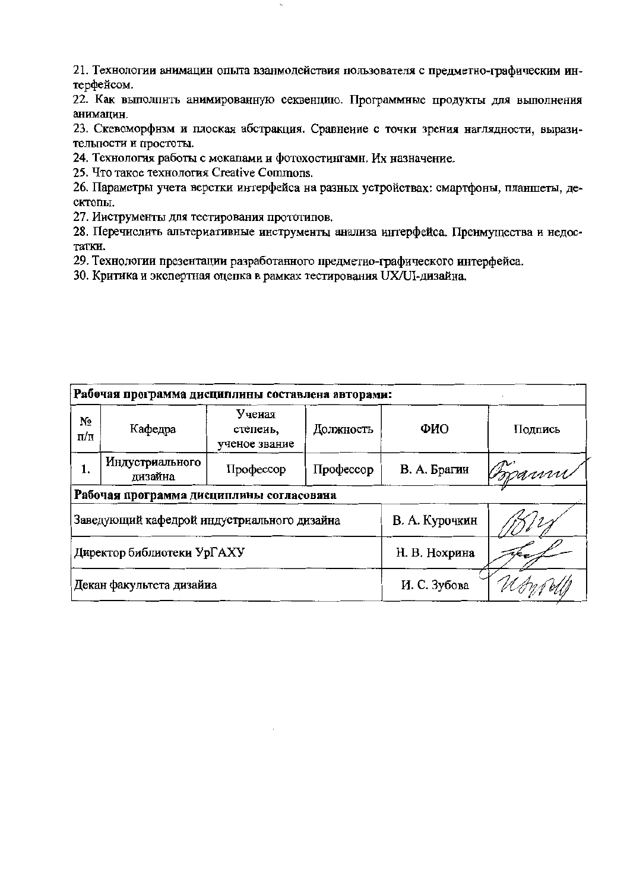21. Технологии анимацин опыта взанмодействия пользователя с предметно-графическим интерфейсом.

22. Как выполнить анимированную секвенцию. Программные продукты для выполнения анимацин.

23. Скевоморфнзм и плоская абстракция. Сравнение с точки зрения наглядности, выразительности и простоты.

24. Технология работы с мокапами и фотохостингами. Их назначение.

25. Что такое технология Creative Commons.

26. Параметры учета верстки интерфейса на разных устройствах: смартфоны, планшеты, десктопы.

27. Инструменты для тестирования прототилов.

28. Перечислить альтериативные инструменты анализа интерфейса. Преимущества и недостатки.

29. Технологии презентации разработанного предметно-графического интерфейса.

30. Критика и экспертная оцепка в рамках тестирования UX/UI-дизайна.

| Рабочая программа дисциплины составлена авторами: |                                             |                                     |                |               |         |  |  |  |  |
|---------------------------------------------------|---------------------------------------------|-------------------------------------|----------------|---------------|---------|--|--|--|--|
| Nº<br>п/п                                         | Кафедра                                     | Ученая<br>степеиь,<br>ученое звание | Должность      | ФИО           | Подпись |  |  |  |  |
| 1.                                                | Индустриального<br>дизайна                  | Профессор                           | Профессор      | В. А. Брагии  | boann   |  |  |  |  |
| Рабочая программа дисциплины согласована          |                                             |                                     |                |               |         |  |  |  |  |
|                                                   | Заведующий кафедрой индустриального дизайна |                                     | В. А. Курочкин |               |         |  |  |  |  |
| Директор библиотеки УрГАХУ                        |                                             |                                     |                | Н. В. Нохрина |         |  |  |  |  |
|                                                   | Декан факультета дизайиа                    |                                     | И. С. Зубова   |               |         |  |  |  |  |